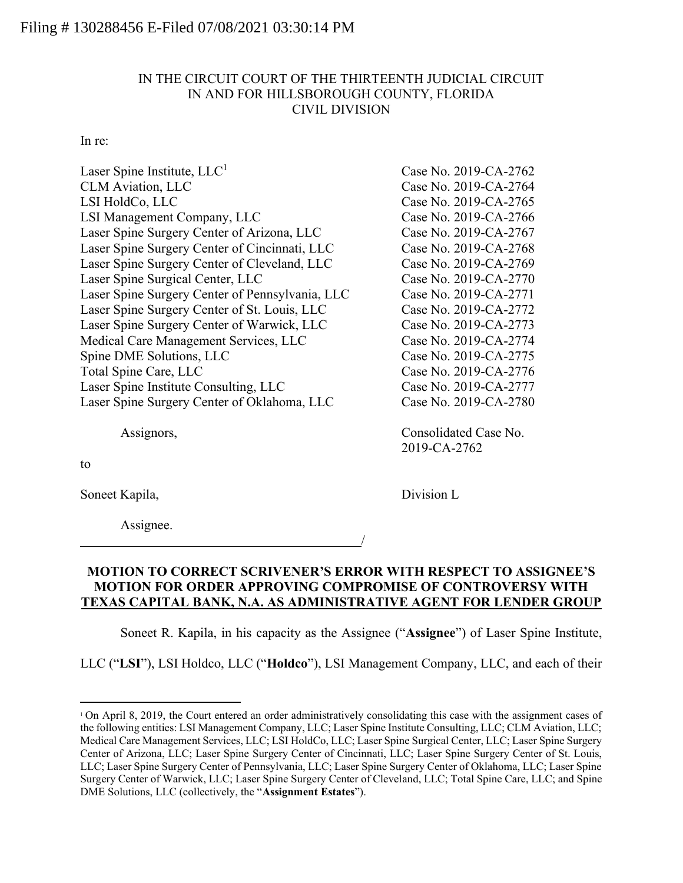## IN THE CIRCUIT COURT OF THE THIRTEENTH JUDICIAL CIRCUIT IN AND FOR HILLSBOROUGH COUNTY, FLORIDA CIVIL DIVISION

## In re:

| Laser Spine Institute, $LLC1$                   | Case No. 2019-CA-2762 |
|-------------------------------------------------|-----------------------|
| <b>CLM</b> Aviation, LLC                        | Case No. 2019-CA-2764 |
| LSI HoldCo, LLC                                 | Case No. 2019-CA-2765 |
| LSI Management Company, LLC                     | Case No. 2019-CA-2766 |
| Laser Spine Surgery Center of Arizona, LLC      | Case No. 2019-CA-2767 |
| Laser Spine Surgery Center of Cincinnati, LLC   | Case No. 2019-CA-2768 |
| Laser Spine Surgery Center of Cleveland, LLC    | Case No. 2019-CA-2769 |
| Laser Spine Surgical Center, LLC                | Case No. 2019-CA-2770 |
| Laser Spine Surgery Center of Pennsylvania, LLC | Case No. 2019-CA-2771 |
| Laser Spine Surgery Center of St. Louis, LLC    | Case No. 2019-CA-2772 |
| Laser Spine Surgery Center of Warwick, LLC      | Case No. 2019-CA-2773 |
| Medical Care Management Services, LLC           | Case No. 2019-CA-2774 |
| Spine DME Solutions, LLC                        | Case No. 2019-CA-2775 |
| Total Spine Care, LLC                           | Case No. 2019-CA-2776 |
| Laser Spine Institute Consulting, LLC           | Case No. 2019-CA-2777 |
| Laser Spine Surgery Center of Oklahoma, LLC     | Case No. 2019-CA-2780 |
|                                                 |                       |

to

Soneet Kapila, Division L

Assignee.

Assignors, Consolidated Case No. 2019-CA-2762

## **MOTION TO CORRECT SCRIVENER'S ERROR WITH RESPECT TO ASSIGNEE'S MOTION FOR ORDER APPROVING COMPROMISE OF CONTROVERSY WITH TEXAS CAPITAL BANK, N.A. AS ADMINISTRATIVE AGENT FOR LENDER GROUP**

Soneet R. Kapila, in his capacity as the Assignee ("**Assignee**") of Laser Spine Institute,

/

LLC ("**LSI**"), LSI Holdco, LLC ("**Holdco**"), LSI Management Company, LLC, and each of their

<sup>1</sup> On April 8, 2019, the Court entered an order administratively consolidating this case with the assignment cases of the following entities: LSI Management Company, LLC; Laser Spine Institute Consulting, LLC; CLM Aviation, LLC; Medical Care Management Services, LLC; LSI HoldCo, LLC; Laser Spine Surgical Center, LLC; Laser Spine Surgery Center of Arizona, LLC; Laser Spine Surgery Center of Cincinnati, LLC; Laser Spine Surgery Center of St. Louis, LLC; Laser Spine Surgery Center of Pennsylvania, LLC; Laser Spine Surgery Center of Oklahoma, LLC; Laser Spine Surgery Center of Warwick, LLC; Laser Spine Surgery Center of Cleveland, LLC; Total Spine Care, LLC; and Spine DME Solutions, LLC (collectively, the "**Assignment Estates**").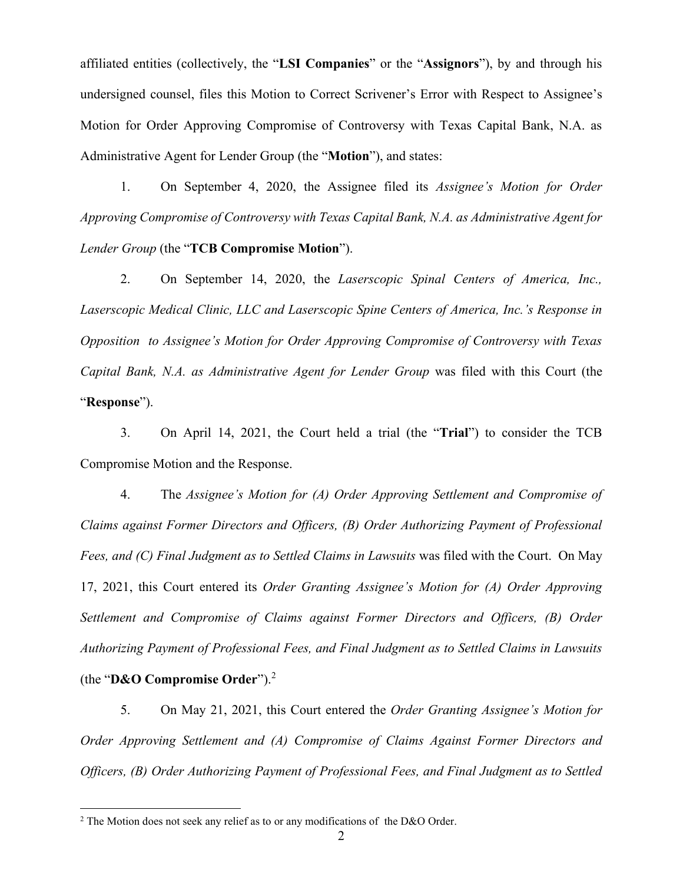affiliated entities (collectively, the "**LSI Companies**" or the "**Assignors**"), by and through his undersigned counsel, files this Motion to Correct Scrivener's Error with Respect to Assignee's Motion for Order Approving Compromise of Controversy with Texas Capital Bank, N.A. as Administrative Agent for Lender Group (the "**Motion**"), and states:

1. On September 4, 2020, the Assignee filed its *Assignee's Motion for Order Approving Compromise of Controversy with Texas Capital Bank, N.A. as Administrative Agent for Lender Group* (the "**TCB Compromise Motion**").

2. On September 14, 2020, the *Laserscopic Spinal Centers of America, Inc.,*  Laserscopic Medical Clinic, LLC and Laserscopic Spine Centers of America, Inc.'s Response in *Opposition to Assignee's Motion for Order Approving Compromise of Controversy with Texas Capital Bank, N.A. as Administrative Agent for Lender Group* was filed with this Court (the "**Response**").

3. On April 14, 2021, the Court held a trial (the "**Trial**") to consider the TCB Compromise Motion and the Response.

4. The *Assignee's Motion for (A) Order Approving Settlement and Compromise of Claims against Former Directors and Officers, (B) Order Authorizing Payment of Professional Fees, and (C) Final Judgment as to Settled Claims in Lawsuits* was filed with the Court. On May 17, 2021, this Court entered its *Order Granting Assignee's Motion for (A) Order Approving Settlement and Compromise of Claims against Former Directors and Officers, (B) Order Authorizing Payment of Professional Fees, and Final Judgment as to Settled Claims in Lawsuits* (the "**D&O Compromise Order**"). 2

5. On May 21, 2021, this Court entered the *Order Granting Assignee's Motion for Order Approving Settlement and (A) Compromise of Claims Against Former Directors and Officers, (B) Order Authorizing Payment of Professional Fees, and Final Judgment as to Settled* 

 $2$  The Motion does not seek any relief as to or any modifications of the D&O Order.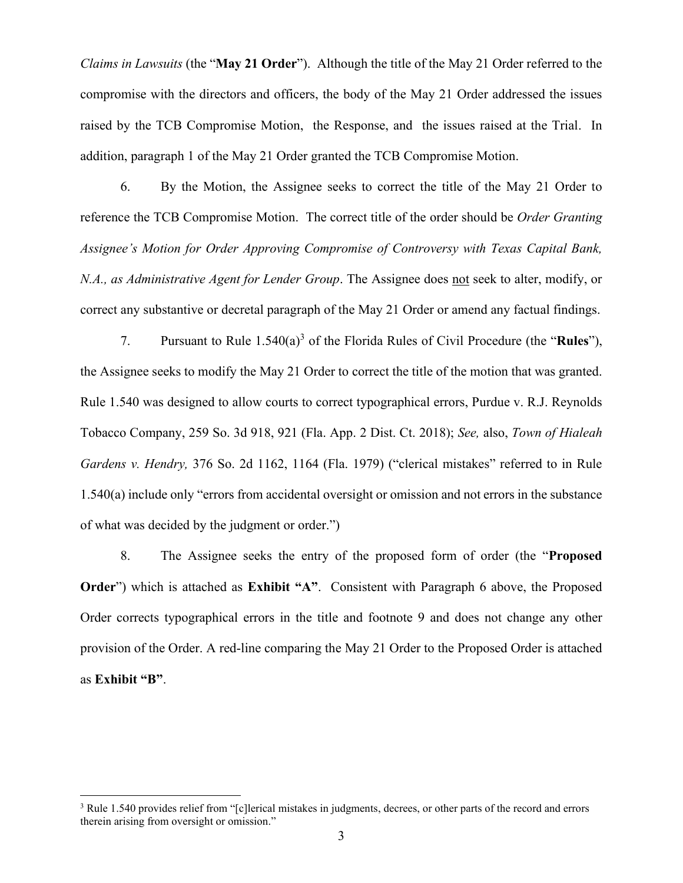*Claims in Lawsuits* (the "**May 21 Order**"). Although the title of the May 21 Order referred to the compromise with the directors and officers, the body of the May 21 Order addressed the issues raised by the TCB Compromise Motion, the Response, and the issues raised at the Trial. In addition, paragraph 1 of the May 21 Order granted the TCB Compromise Motion.

6. By the Motion, the Assignee seeks to correct the title of the May 21 Order to reference the TCB Compromise Motion. The correct title of the order should be *Order Granting Assignee's Motion for Order Approving Compromise of Controversy with Texas Capital Bank, N.A., as Administrative Agent for Lender Group*. The Assignee does not seek to alter, modify, or correct any substantive or decretal paragraph of the May 21 Order or amend any factual findings.

7. Pursuant to Rule 1.540(a)<sup>3</sup> of the Florida Rules of Civil Procedure (the "Rules"), the Assignee seeks to modify the May 21 Order to correct the title of the motion that was granted. Rule 1.540 was designed to allow courts to correct typographical errors, Purdue v. R.J. Reynolds Tobacco Company, 259 So. 3d 918, 921 (Fla. App. 2 Dist. Ct. 2018); *See,* also, *Town of Hialeah Gardens v. Hendry,* 376 So. 2d 1162, 1164 (Fla. 1979) ("clerical mistakes" referred to in Rule 1.540(a) include only "errors from accidental oversight or omission and not errors in the substance of what was decided by the judgment or order.")

8. The Assignee seeks the entry of the proposed form of order (the "**Proposed Order**") which is attached as **Exhibit "A"**. Consistent with Paragraph 6 above, the Proposed Order corrects typographical errors in the title and footnote 9 and does not change any other provision of the Order. A red-line comparing the May 21 Order to the Proposed Order is attached as **Exhibit "B"**.

<sup>&</sup>lt;sup>3</sup> Rule 1.540 provides relief from "[c]lerical mistakes in judgments, decrees, or other parts of the record and errors therein arising from oversight or omission."